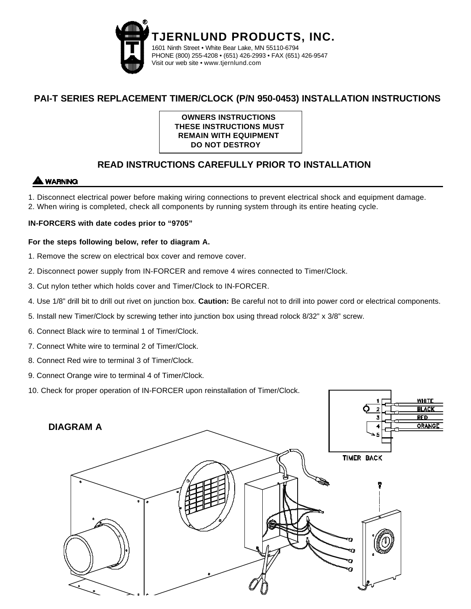

**TJERNLUND PRODUCTS, INC.** 1601 Ninth Street • White Bear Lake, MN 55110-6794 PHONE (800) 255-4208 • (651) 426-2993 • FAX (651) 426-9547 Visit our web site • www.tjernlund.com

## **PAI-T SERIES REPLACEMENT TIMER/CLOCK (P/N 950-0453) INSTALLATION INSTRUCTIONS**

### **OWNERS INSTRUCTIONS THESE INSTRUCTIONS MUST REMAIN WITH EQUIPMENT DO NOT DESTROY**

# **READ INSTRUCTIONS CAREFULLY PRIOR TO INSTALLATION**

## **WARNING**

1. Disconnect electrical power before making wiring connections to prevent electrical shock and equipment damage. 2. When wiring is completed, check all components by running system through its entire heating cycle.

## **IN-FORCERS with date codes prior to "9705"**

### **For the steps following below, refer to diagram A.**

- 1. Remove the screw on electrical box cover and remove cover.
- 2. Disconnect power supply from IN-FORCER and remove 4 wires connected to Timer/Clock.
- 3. Cut nylon tether which holds cover and Timer/Clock to IN-FORCER.
- 4. Use 1/8" drill bit to drill out rivet on junction box. **Caution:** Be careful not to drill into power cord or electrical components.
- 5. Install new Timer/Clock by screwing tether into junction box using thread rolock 8/32" x 3/8" screw.
- 6. Connect Black wire to terminal 1 of Timer/Clock.
- 7. Connect White wire to terminal 2 of Timer/Clock.
- 8. Connect Red wire to terminal 3 of Timer/Clock.
- 9. Connect Orange wire to terminal 4 of Timer/Clock.
- 10. Check for proper operation of IN-FORCER upon reinstallation of Timer/Clock.